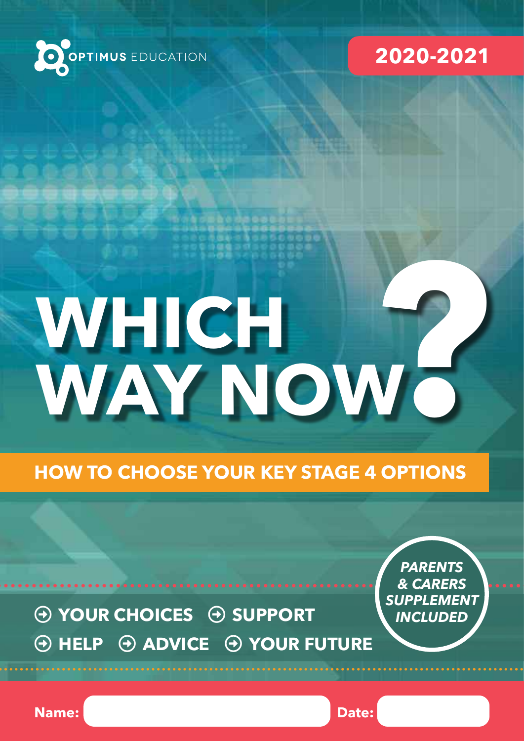



# **P**<br>**P**<br>**P**<br>**P**<br>**P**<br>**P**<br>**P**<br>**P WHICH WAY NOW**

**HOW TO CHOOSE YOUR KEY STAGE 4 OPTIONS**

 $\Theta$  YOUR CHOICES  $\Theta$  SUPPORT  $\Theta$  HELP  $\Theta$  ADVICE  $\Theta$  YOUR FUTURE

*PARENTS & CARERS SUPPLEMENT INCLUDED*

**Name:** Date: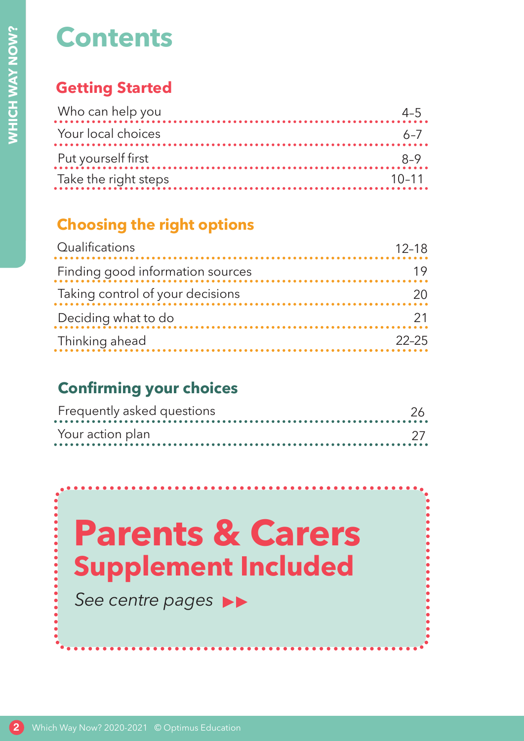# **Contents**

# **Getting Started**

| Who can help you     |           |
|----------------------|-----------|
| Your local choices   | $6 - 7$   |
| Put yourself first   |           |
| Take the right steps | $10 - 11$ |
|                      |           |

# **Choosing the right options**

| Who can help you<br>Your local choices                    |  |
|-----------------------------------------------------------|--|
|                                                           |  |
| Put yourself first                                        |  |
| Take the right steps                                      |  |
| <b>Choosing the right options</b>                         |  |
| Qualifications                                            |  |
| Finding good information sources                          |  |
| Taking control of your decisions                          |  |
| Deciding what to do                                       |  |
| Thinking ahead                                            |  |
| Your action plan                                          |  |
|                                                           |  |
|                                                           |  |
|                                                           |  |
| <b>Parents &amp; Carers</b><br><b>Supplement Included</b> |  |
|                                                           |  |
| See centre pages                                          |  |

# **Confirming your choices**

| Frequently asked questions |  |
|----------------------------|--|
| Your action plan           |  |

# **Parents & Carers Supplement Included**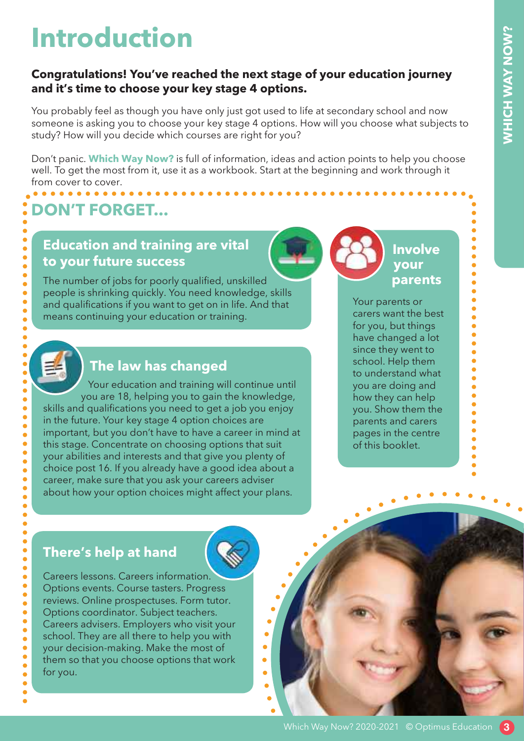# **Introduction**

### **Congratulations! You've reached the next stage of your education journey and it's time to choose your key stage 4 options.**

You probably feel as though you have only just got used to life at secondary school and now someone is asking you to choose your key stage 4 options. How will you choose what subjects to study? How will you decide which courses are right for you?

Don't panic. **Which Way Now?** is full of information, ideas and action points to help you choose well. To get the most from it, use it as a workbook. Start at the beginning and work through it from cover to cover.

# **DON'T FORGET...**

## **Education and training are vital to your future success**

The number of jobs for poorly qualified, unskilled people is shrinking quickly. You need knowledge, skills and qualifications if you want to get on in life. And that means continuing your education or training.



 $\bullet$ 

 $\bullet$  $\bullet$  $\bullet$  $\bullet$  $\bullet$  $\bullet$  $\bullet$ 

Ŏ

 $\bullet$  $\bullet$  $\bullet$  $\bullet$  $\bullet$  $\bullet$  $\bullet$  $\bullet$  $\bullet$  $\bullet$  $\bullet$  $\bullet$ ò

٠

 $\bullet$  $\bullet$  $\bullet$  $\bullet$  $\bullet$  $\bullet$  $\bullet$  $\bullet$  $\bullet$  $\bullet$  $\bullet$  $\bullet$  $\bullet$ 

 $\bullet$ 

 $\bullet$ 

 $\bullet$ 

# **The law has changed**

Your education and training will continue until you are 18, helping you to gain the knowledge, skills and qualifications you need to get a job you enjoy in the future. Your key stage 4 option choices are important, but you don't have to have a career in mind at this stage. Concentrate on choosing options that suit your abilities and interests and that give you plenty of choice post 16. If you already have a good idea about a career, make sure that you ask your careers adviser about how your option choices might affect your plans.

## **Involve your parents**

 $\bullet$ 

 $\bullet$  $\bullet$ 

Your parents or carers want the best for you, but things have changed a lot since they went to school. Help them to understand what you are doing and how they can help you. Show them the parents and carers pages in the centre of this booklet.

# **There's help at hand**



 $\bullet$ 

ò

 $\blacksquare$ 

Careers lessons. Careers information. Options events. Course tasters. Progress reviews. Online prospectuses. Form tutor. Options coordinator. Subject teachers. Careers advisers. Employers who visit your school. They are all there to help you with your decision-making. Make the most of them so that you choose options that work for you.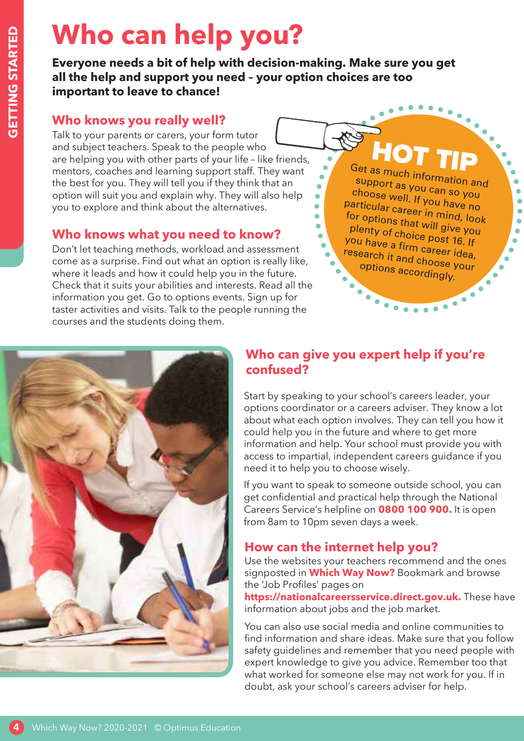# **Who can help you?**

**Everyone needs a bit of help with decision-making. Make sure you get all the help and support you need – your option choices are too important to leave to chance!**

## **Who knows you really well?**

Talk to your parents or carers, your form tutor and subject teachers. Speak to the people who are helping you with other parts of your life – like friends, mentors, coaches and learning support staff. They want the best for you. They will tell you if they think that an option will suit you and explain why. They will also help you to explore and think about the alternatives.

## **Who knows what you need to know?**

Don't let teaching methods, workload and assessment come as a surprise. Find out what an option is really like, where it leads and how it could help you in the future. Check that it suits your abilities and interests. Read all the information you get. Go to options events. Sign up for taster activities and visits. Talk to the people running the courses and the students doing them.

Get as much information and

 $\bullet$  $\bullet$  $\bullet$  $\bullet$ 

 $\bullet$  $\bullet$ 

support as you can so you choose well. If you have no particular career in mind, look for options that will give you plenty of choice post 16. If you have a firm career idea, research it and choose your options accordingly.



# **Who can give you expert help if you're confused?**

Start by speaking to your school's careers leader, your options coordinator or a careers adviser. They know a lot about what each option involves. They can tell you how it could help you in the future and where to get more information and help. Your school must provide you with access to impartial, independent careers guidance if you need it to help you to choose wisely.

If you want to speak to someone outside school, you can get confidential and practical help through the National Careers Service's helpline on **0800 100 900.** It is open from 8am to 10pm seven days a week.

# **How can the internet help you?**

Use the websites your teachers recommend and the ones signposted in **Which Way Now?** Bookmark and browse the 'Job Profiles' pages on

**https://nationalcareersservice.direct.gov.uk.** These have information about jobs and the job market.

You can also use social media and online communities to find information and share ideas. Make sure that you follow safety guidelines and remember that you need people with expert knowledge to give you advice. Remember too that what worked for someone else may not work for you. If in doubt, ask your school's careers adviser for help.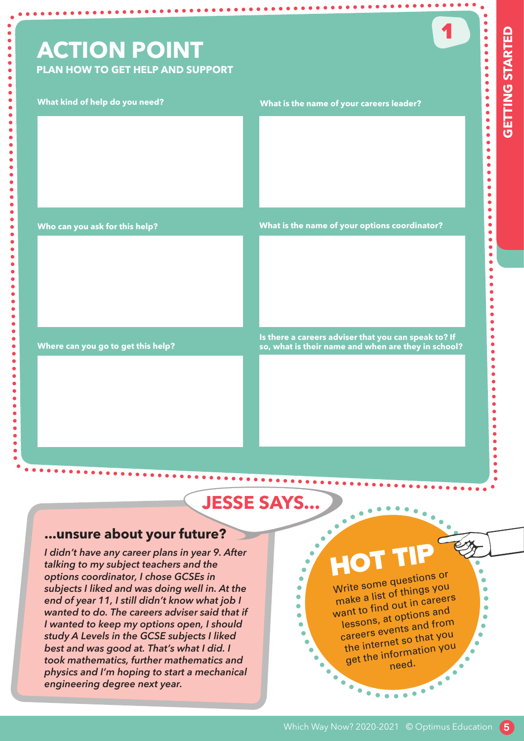# **ACTION POINT**

**PLAN HOW TO GET HELP AND SUPPORT**

**.......** 

**.** . . . . . . . . . . . . .

...

**......** 

. . . . . . . . . . . . . . . .

1

#### **What kind of help do you need?**

 $\bullet$  $\bullet$  $\ddot{\bullet}$ 

 $\bullet$  $\bullet$  $\bullet$ 

> $\bullet$  $\bullet$  $\bullet$ ö ò

> > ó Ċ

> > > $\bullet$

-----------

#### **What is the name of your careers leader?**

**Who can you ask for this help?**

**What is the name of your options coordinator?**

**Where can you go to get this help?**

**Is there a careers adviser that you can speak to? If so, what is their name and when are they in school?**

# **JESSE SAYS...**

#### **...unsure about your future?**

*I didn't have any career plans in year 9. After talking to my subject teachers and the options coordinator, I chose GCSEs in subjects I liked and was doing well in. At the end of year 11, I still didn't know what job I wanted to do. The careers adviser said that if I wanted to keep my options open, I should study A Levels in the GCSE subjects I liked best and was good at. That's what I did. I took mathematics, further mathematics and physics and I'm hoping to start a mechanical engineering degree next year.*

# **HOT**

Write some questions or make a list of things you want to find out in careers lessons, at options an<sup>d</sup> careers events and from the internet so that you get the information you need.

 $\bullet\bullet\bullet\bullet\bullet$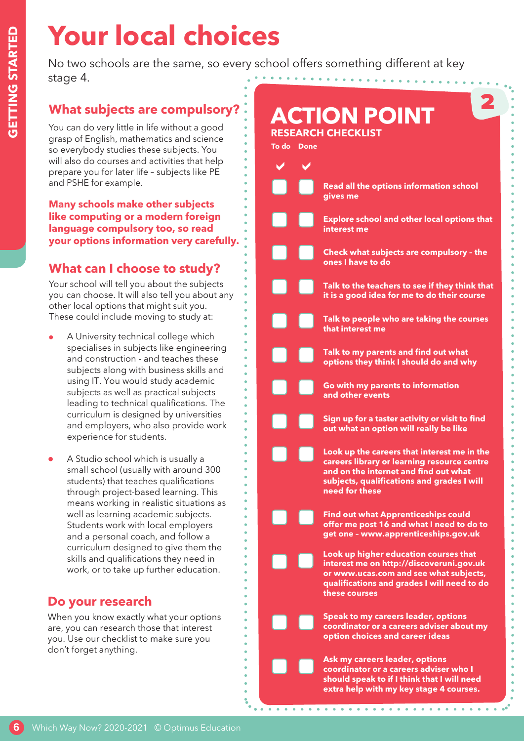# **6GETTING STARTED GETTING STARTED**

# **Your local choices**

No two schools are the same, so every school offers something different at key stage 4. . . . . . . . . . . . . .

# **What subjects are compulsory?**

You can do very little in life without a good grasp of English, mathematics and science so everybody studies these subjects. You will also do courses and activities that help prepare you for later life – subjects like PE and PSHE for example.

#### **Many schools make other subjects like computing or a modern foreign language compulsory too, so read your options information very carefully.**

# **What can I choose to study?**

Your school will tell you about the subjects you can choose. It will also tell you about any other local options that might suit you. These could include moving to study at:

- A University technical college which specialises in subjects like engineering and construction - and teaches these subjects along with business skills and using IT. You would study academic subjects as well as practical subjects leading to technical qualifications. The curriculum is designed by universities and employers, who also provide work experience for students.
- A Studio school which is usually a small school (usually with around 300 students) that teaches qualifications through project-based learning. This means working in realistic situations as well as learning academic subjects. Students work with local employers and a personal coach, and follow a curriculum designed to give them the skills and qualifications they need in work, or to take up further education.

# **Do your research**

When you know exactly what your options are, you can research those that interest you. Use our checklist to make sure you don't forget anything.

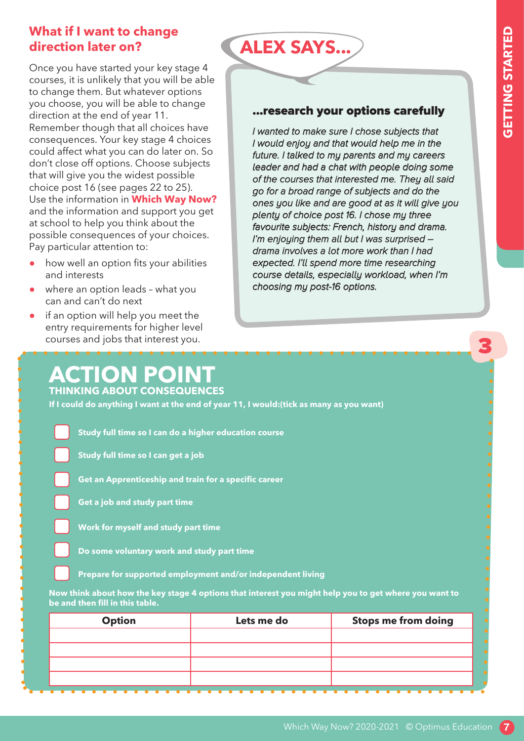3

## **What if I want to change direction later on?**

Once you have started your key stage 4 courses, it is unlikely that you will be able to change them. But whatever options you choose, you will be able to change direction at the end of year 11. Remember though that all choices have consequences. Your key stage 4 choices could affect what you can do later on. So don't close off options. Choose subjects that will give you the widest possible choice post 16 (see pages 22 to 25). Use the information in **Which Way Now?** and the information and support you get at school to help you think about the possible consequences of your choices. Pay particular attention to:

- how well an option fits your abilities and interests
- where an option leads what you can and can't do next
- if an option will help you meet the entry requirements for higher level courses and jobs that interest you.

#### ...research your options carefully

**ALEX SAYS...**

I wanted to make sure I chose subjects that I would enjoy and that would help me in the future. I talked to my parents and my careers leader and had a chat with people doing some of the courses that interested me. They all said go for a broad range of subjects and do the ones you like and are good at as it will give you plenty of choice post 16. I chose my three favourite subjects: French, history and drama. I'm enjoying them all but I was surprised – drama involves a lot more work than I had expected. I'll spend more time researching course details, especially workload, when I'm choosing my post-16 options.

## **ACTION POINT THINKING ABOUT CONSEQUENCES**

**If I could do anything I want at the end of year 11, I would:(tick as many as you want)**

**Study full time so I can do a higher education course**

**Study full time so I can get a job**

**Get an Apprenticeship and train for a specific career**



**Work for myself and study part time**

**Do some voluntary work and study part time**

**Prepare for supported employment and/or independent living**

**Now think about how the key stage 4 options that interest you might help you to get where you want to be and then fill in this table.**

| <b>Option</b> | Lets me do | <b>Stops me from doing</b> |
|---------------|------------|----------------------------|
|               |            |                            |
|               |            |                            |
|               |            |                            |
|               |            |                            |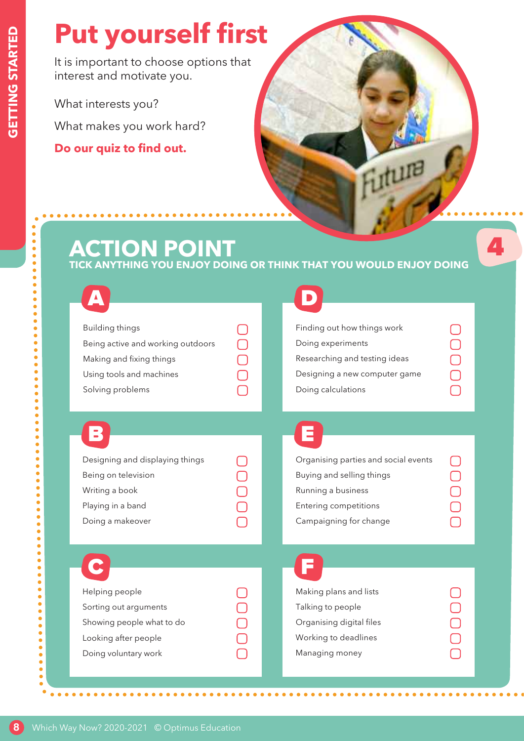$\bullet$ 

...

 $\ddot{\bullet}$  $\bullet$  $\bullet$  $\bullet$  $\bullet$  $\bullet$ 

 $\bullet$ 

# **Put yourself first**

It is important to choose options that interest and motivate you.

What interests you? What makes you work hard?

**Do our quiz to find out.**

# **ACTION POINT**

#### **TICK ANYTHING YOU ENJOY DOING OR THINK THAT YOU WOULD ENJOY DOING**

| Building things                   |  | Findir |
|-----------------------------------|--|--------|
| Being active and working outdoors |  | Doing  |
| Making and fixing things          |  | Resea  |
| Using tools and machines          |  | Desig  |
| Solving problems                  |  | Doinc  |
|                                   |  |        |

| Finding out how things work   |  |
|-------------------------------|--|
| Doing experiments             |  |
| Researching and testing ideas |  |
| Designing a new computer game |  |
| Doing calculations            |  |

Futura

4

# B E E

| Designing and displaying things |  |
|---------------------------------|--|
| Being on television             |  |
| Writing a book                  |  |
| Playing in a band               |  |
| Doing a makeover                |  |
|                                 |  |

| Organising parties and social events |  |
|--------------------------------------|--|
| Buying and selling things            |  |
| Running a business                   |  |
| <b>Entering competitions</b>         |  |
| Campaigning for change               |  |
|                                      |  |

| Helping people            |  |
|---------------------------|--|
| Sorting out arguments     |  |
| Showing people what to do |  |
| Looking after people      |  |
| Doing voluntary work      |  |
|                           |  |

| Making plans and lists   |  |
|--------------------------|--|
| Talking to people        |  |
| Organising digital files |  |
| Working to deadlines     |  |
| Managing money           |  |
|                          |  |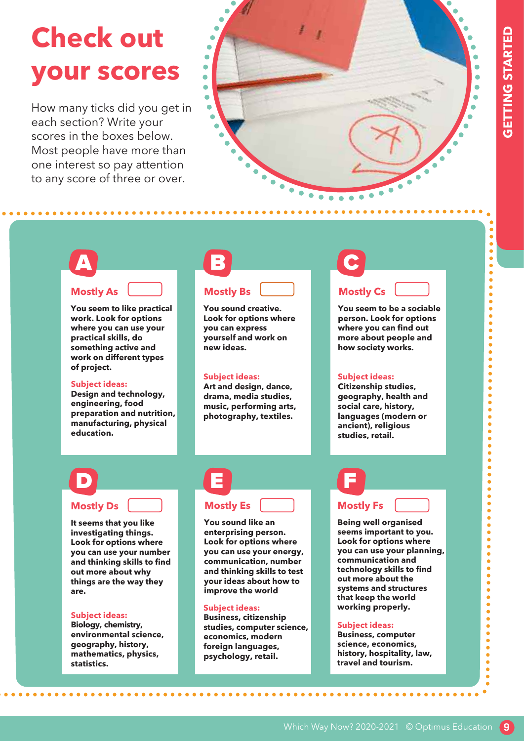$\bullet$  $\bullet$ 

 $\bullet$   $\bullet$   $\bullet$  $\ddot{\bullet}$  $\bullet$  $\bullet$  $\ddot{\bullet}$  $\bullet$  $\ddot{\bullet}$  $\bullet$  $\bullet$  $\bullet$  $\bullet$  $\bullet$  $\bullet$  $\bullet$  $\bullet$  $\bullet$  $\bullet$  $\bullet$  $\bullet$  $\bullet$  $\bullet$  $\bullet$  $\bullet$ 

 $\bullet$  $\bullet$  $\bullet$  $\bullet$  $\bullet$  $\bullet$  $\bullet$  $\bullet$  $\bullet$  $\bullet$  $\bullet$ 

----------------

 $\bullet$  $\bullet$ 

# **Check out your scores**

How many ticks did you get in each section? Write your scores in the boxes below. Most people have more than one interest so pay attention to any score of three or over.

**....................** 



# A **Mostly As**

**You seem to like practical work. Look for options where you can use your practical skills, do something active and work on different types of project.**

#### **Subject ideas:**

**Design and technology, engineering, food preparation and nutrition, manufacturing, physical education.**

# B **Mostly Bs**

**You sound creative. Look for options where you can express yourself and work on new ideas.**

#### **Subject ideas:**

**Art and design, dance, drama, media studies, music, performing arts, photography, textiles.**

#### **Mostly Cs**

C

**You seem to be a sociable person. Look for options where you can find out more about people and how society works.**

#### **Subject ideas:**

**Citizenship studies, geography, health and social care, history, languages (modern or ancient), religious studies, retail.**

# D

#### **Mostly Ds**

**It seems that you like investigating things. Look for options where you can use your number and thinking skills to find out more about why things are the way they are.**

#### **Subject ideas:**

**Biology, chemistry, environmental science, geography, history, mathematics, physics, statistics.**

# E **Mostly Es**

**You sound like an enterprising person. Look for options where you can use your energy, communication, number and thinking skills to test your ideas about how to improve the world**

#### **Subject ideas:**

**Business, citizenship studies, computer science, economics, modern foreign languages, psychology, retail.**

# F **Mostly Fs**

**Being well organised seems important to you. Look for options where you can use your planning, communication and technology skills to find out more about the systems and structures that keep the world working properly.**

#### **Subject ideas:**

**Business, computer science, economics, history, hospitality, law, travel and tourism.**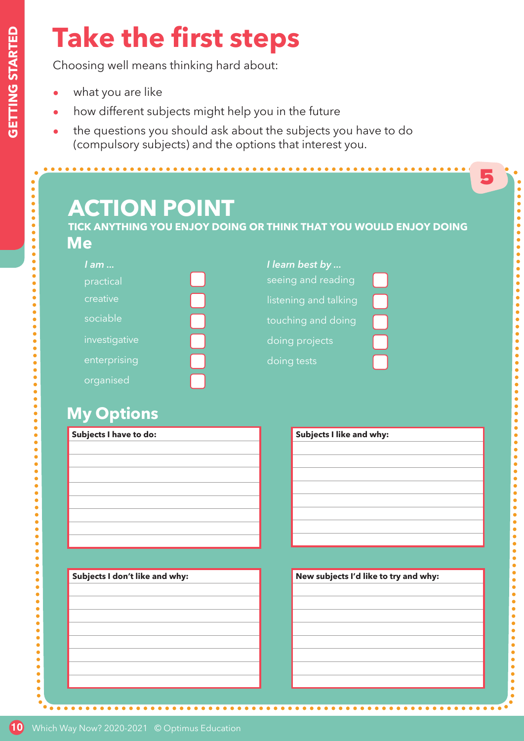$\bullet$  $\bullet$  $\bullet$  $\bullet$  $\bullet$  $\bullet$  $\bullet$  $\bullet$  $\bullet$ 

 $\bullet$  $\bullet$  $\bullet$  $\bullet$  $\bullet$ 

# **Take the first steps**

Choosing well means thinking hard about:

- what you are like
- how different subjects might help you in the future
- the questions you should ask about the subjects you have to do (compulsory subjects) and the options that interest you.

# **ACTION POINT**

**TICK ANYTHING YOU ENJOY DOING OR THINK THAT YOU WOULD ENJOY DOING Me**

| l am          | I learn best by       |  |
|---------------|-----------------------|--|
| practical     | seeing and reading    |  |
| creative      | listening and talking |  |
| sociable      | touching and doing    |  |
| investigative | doing projects        |  |
| enterprising  | doing tests           |  |
| organised     |                       |  |

# **My Options**

| Subjects I have to do: |  |
|------------------------|--|
|                        |  |
|                        |  |
|                        |  |
|                        |  |
|                        |  |
|                        |  |
|                        |  |
|                        |  |

| Subjects I don't like and why: |
|--------------------------------|
|                                |
|                                |
|                                |
|                                |
|                                |
|                                |
|                                |
|                                |
|                                |

| <b>Subjects I like and why:</b>       |
|---------------------------------------|
|                                       |
|                                       |
|                                       |
|                                       |
|                                       |
|                                       |
|                                       |
|                                       |
|                                       |
|                                       |
| New subjects I'd like to try and why: |

5

. . . . . . . . . .

 $\begin{array}{ccccccccccccccccc} \bullet & \bullet & \bullet & \bullet & \bullet & \bullet & \bullet \end{array}$ 

.........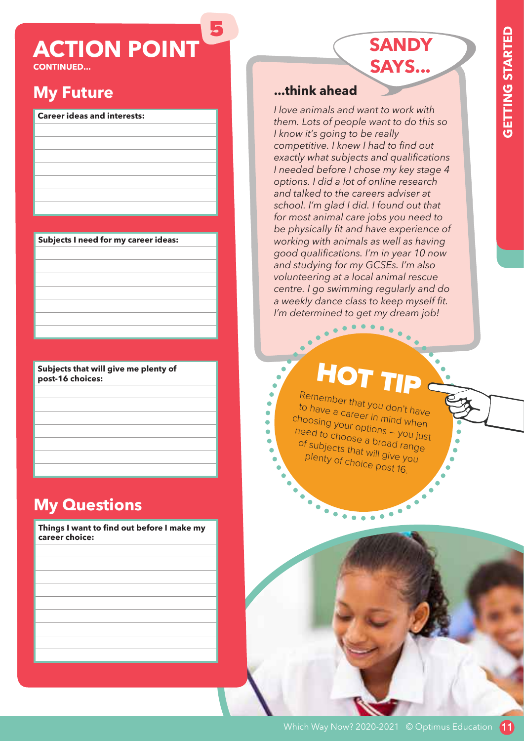# **ACTION POINT**

5

**CONTINUED...**

# **My Future**

#### **Career ideas and interests:**

**Subjects I need for my career ideas:**

**Subjects that will give me plenty of post-16 choices:**

# **My Questions**

**Things I want to find out before I make my career choice:**

## **...think ahead**

*I love animals and want to work with them. Lots of people want to do this so I know it's going to be really competitive. I knew I had to find out exactly what subjects and qualifications I needed before I chose my key stage 4 options. I did a lot of online research and talked to the careers adviser at school. I'm glad I did. I found out that for most animal care jobs you need to be physically fit and have experience of working with animals as well as having good qualifications. I'm in year 10 now and studying for my GCSEs. I'm also volunteering at a local animal rescue centre. I go swimming regularly and do a weekly dance class to keep myself fit. I'm determined to get my dream job!*

**SANDY** 

**SAYS...**

# HOT TIP

.....

Remember that you don't have to have a career in mind when choosing your options – you just need to choose a broad range of subjects that will give you plenty of choice post 16.

 $\blacksquare$  $\blacksquare$ ä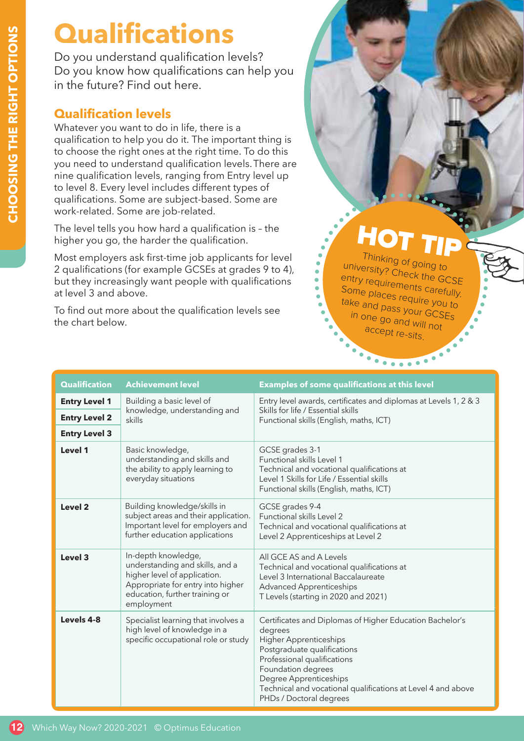# **Qualifications**

Do you understand qualification levels? Do you know how qualifications can help you in the future? Find out here.

# **Qualification levels**

Whatever you want to do in life, there is a qualification to help you do it. The important thing is to choose the right ones at the right time. To do this you need to understand qualification levels. There are nine qualification levels, ranging from Entry level up to level 8. Every level includes different types of qualifications. Some are subject-based. Some are work-related. Some are job-related.

The level tells you how hard a qualification is – the higher you go, the harder the qualification.

Most employers ask first-time job applicants for level 2 qualifications (for example GCSEs at grades 9 to 4), but they increasingly want people with qualifications at level 3 and above.

To find out more about the qualification levels see the chart below.

# HOT TIP

Thinking of going to university? Check the GCSE entry requirements carefully. Some places require you to take and pass your GCSEs in one go and will not accept re-sits.

|                      |                                                                                                                                                                             | $\bullet$<br>$\overline{\cdots}$<br>$\bullet$ .                                                                                                                                                                                                                                                               |
|----------------------|-----------------------------------------------------------------------------------------------------------------------------------------------------------------------------|---------------------------------------------------------------------------------------------------------------------------------------------------------------------------------------------------------------------------------------------------------------------------------------------------------------|
| <b>Qualification</b> | <b>Achievement level</b>                                                                                                                                                    | <b>Examples of some qualifications at this level</b>                                                                                                                                                                                                                                                          |
| <b>Entry Level 1</b> | Building a basic level of                                                                                                                                                   | Entry level awards, certificates and diplomas at Levels 1, 2 & 3                                                                                                                                                                                                                                              |
| <b>Entry Level 2</b> | knowledge, understanding and<br>skills                                                                                                                                      | Skills for life / Essential skills<br>Functional skills (English, maths, ICT)                                                                                                                                                                                                                                 |
| <b>Entry Level 3</b> |                                                                                                                                                                             |                                                                                                                                                                                                                                                                                                               |
| Level 1              | Basic knowledge,<br>understanding and skills and<br>the ability to apply learning to<br>everyday situations                                                                 | GCSE grades 3-1<br>Functional skills Level 1<br>Technical and vocational qualifications at<br>Level 1 Skills for Life / Essential skills<br>Functional skills (English, maths, ICT)                                                                                                                           |
| Level 2              | Building knowledge/skills in<br>subject areas and their application.<br>Important level for employers and<br>further education applications                                 | GCSE grades 9-4<br>Functional skills Level 2<br>Technical and vocational qualifications at<br>Level 2 Apprenticeships at Level 2                                                                                                                                                                              |
| Level 3              | In-depth knowledge,<br>understanding and skills, and a<br>higher level of application.<br>Appropriate for entry into higher<br>education, further training or<br>employment | All GCE AS and A Levels<br>Technical and vocational qualifications at<br>Level 3 International Baccalaureate<br><b>Advanced Apprenticeships</b><br>T Levels (starting in 2020 and 2021)                                                                                                                       |
| Levels 4-8           | Specialist learning that involves a<br>high level of knowledge in a<br>specific occupational role or study                                                                  | Certificates and Diplomas of Higher Education Bachelor's<br>degrees<br><b>Higher Apprenticeships</b><br>Postgraduate qualifications<br>Professional qualifications<br>Foundation degrees<br>Degree Apprenticeships<br>Technical and vocational qualifications at Level 4 and above<br>PHDs / Doctoral degrees |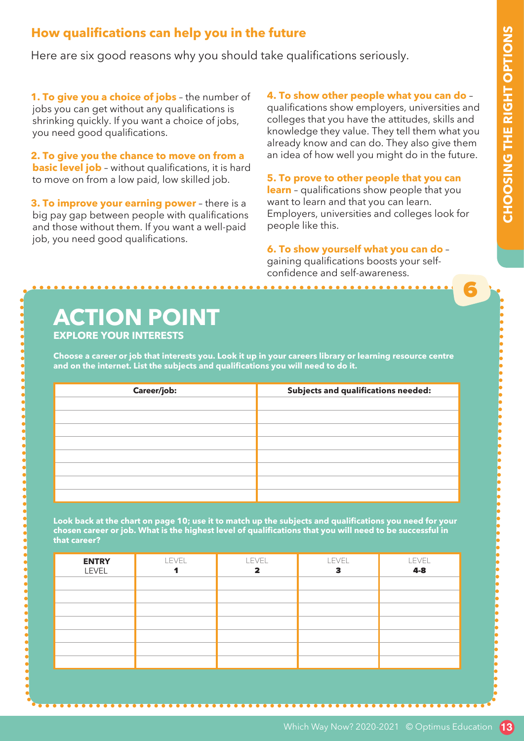6

## **How qualifications can help you in the future**

Here are six good reasons why you should take qualifications seriously.

**1. To give you a choice of jobs** – the number of jobs you can get without any qualifications is shrinking quickly. If you want a choice of jobs, you need good qualifications.

**2. To give you the chance to move on from a basic level job** - without qualifications, it is hard to move on from a low paid, low skilled job.

**3. To improve your earning power** – there is a big pay gap between people with qualifications and those without them. If you want a well-paid job, you need good qualifications.

#### **4. To show other people what you can do** –

qualifications show employers, universities and colleges that you have the attitudes, skills and knowledge they value. They tell them what you already know and can do. They also give them an idea of how well you might do in the future.

**5. To prove to other people that you can learn** – qualifications show people that you want to learn and that you can learn. Employers, universities and colleges look for people like this.

**6. To show yourself what you can do** – gaining qualifications boosts your selfconfidence and self-awareness.

# **ACTION POINT**

**EXPLORE YOUR INTERESTS**

**Choose a career or job that interests you. Look it up in your careers library or learning resource centre and on the internet. List the subjects and qualifications you will need to do it.**

| Career/job: | Subjects and qualifications needed: |
|-------------|-------------------------------------|
|             |                                     |
|             |                                     |
|             |                                     |
|             |                                     |
|             |                                     |
|             |                                     |
|             |                                     |
|             |                                     |
|             |                                     |

**Look back at the chart on page 10; use it to match up the subjects and qualifications you need for your chosen career or job. What is the highest level of qualifications that you will need to be successful in that career?**

| <b>ENTRY</b><br><b>LEVEL</b> | <b>LEVEL</b> | <b>LEVEL</b><br>2 | <b>LEVEL</b> | LEVEL<br>$4-8$ |
|------------------------------|--------------|-------------------|--------------|----------------|
|                              |              |                   |              |                |
|                              |              |                   |              |                |
|                              |              |                   |              |                |
|                              |              |                   |              |                |
|                              |              |                   |              |                |
|                              |              |                   |              |                |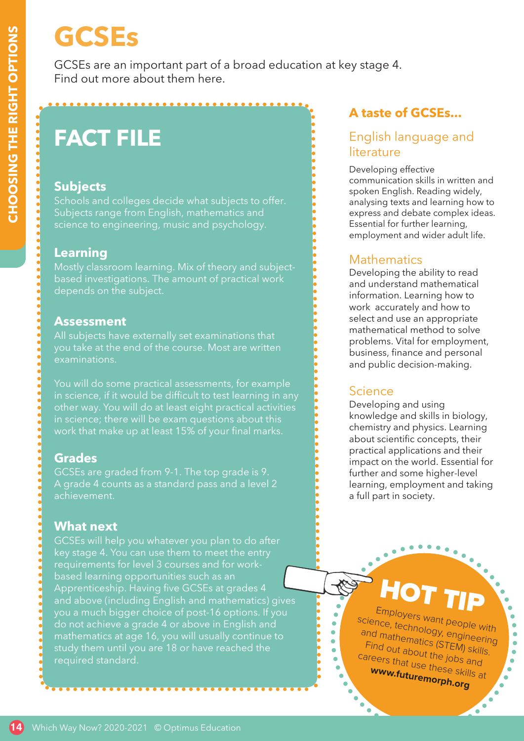# **GCSEs**

GCSEs are an important part of a broad education at key stage 4. Find out more about them here.

# **FACT FILE**

## **Subjects**

Schools and colleges decide what subjects to offer. Subjects range from English, mathematics and science to engineering, music and psychology.

## **Learning**

Mostly classroom learning. Mix of theory and subjectbased investigations. The amount of practical work depends on the subject.

#### **Assessment**

All subjects have externally set examinations that you take at the end of the course. Most are written examinations.

You will do some practical assessments, for example other way. You will do at least eight practical activities in science; there will be exam questions about this work that make up at least 15% of your final marks.

## **Grades**

GCSEs are graded from 9-1. The top grade is 9. A grade 4 counts as a standard pass and a level 2 achievement.

## **What next**

GCSEs will help you whatever you plan to do after key stage 4. You can use them to meet the entry requirements for level 3 courses and for workbased learning opportunities such as an Apprenticeship. Having five GCSEs at grades 4 and above (including English and mathematics) gives you a much bigger choice of post-16 options. If you do not achieve a grade 4 or above in English and mathematics at age 16, you will usually continue to study them until you are 18 or have reached the required standard.

# **A taste of GCSEs...**

## English language and **literature**

Developing effective communication skills in written and spoken English. Reading widely, analysing texts and learning how to express and debate complex ideas. Essential for further learning, employment and wider adult life.

## **Mathematics**

Developing the ability to read and understand mathematical information. Learning how to work accurately and how to select and use an appropriate mathematical method to solve problems. Vital for employment, business, finance and personal and public decision-making.

## **Science**

Developing and using knowledge and skills in biology, chemistry and physics. Learning about scientific concepts, their practical applications and their impact on the world. Essential for further and some higher-level learning, employment and taking a full part in society.

HOT TIP Employers want people with<br>Tee, technology science, technology, engineering and mathematics (STEM) skills. Find out about the jobs and careers that use these skills at **www.futuremorph.org**

> ٠ 'n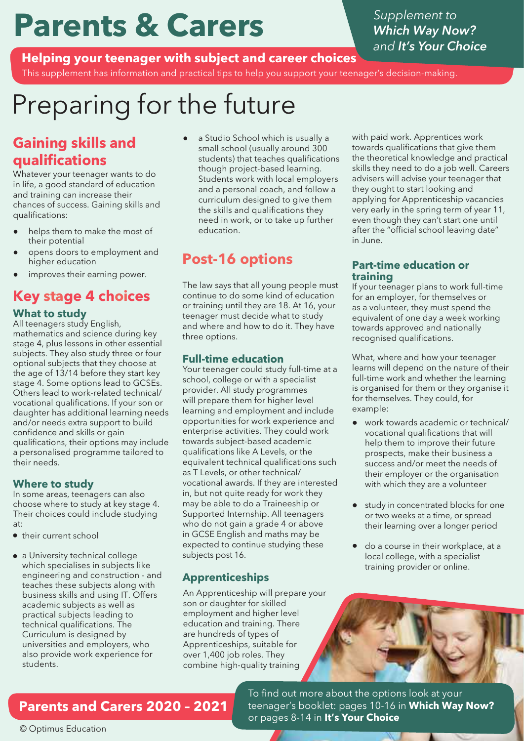# **Parents & Carers**

*Supplement to Which Way Now? and It's Your Choice*

**Helping your teenager with subject and career choices** 

This supplement has information and practical tips to help you support your teenager's decision-making.

# Preparing for the future

# **Gaining skills and qualifications**

Whatever your teenager wants to do in life, a good standard of education and training can increase their chances of success. Gaining skills and qualifications:

- helps them to make the most of their potential
- opens doors to employment and higher education
- improves their earning power.

# **Key stage 4 choices**

#### **What to study**

All teenagers study English, mathematics and science during key stage 4, plus lessons in other essential subjects. They also study three or four optional subjects that they choose at the age of 13/14 before they start key stage 4. Some options lead to GCSEs. Others lead to work-related technical/ vocational qualifications. If your son or daughter has additional learning needs and/or needs extra support to build confidence and skills or gain qualifications, their options may include a personalised programme tailored to their needs.

#### **Where to study**

In some areas, teenagers can also choose where to study at key stage 4. Their choices could include studying at:

- their current school
- a University technical college which specialises in subjects like engineering and construction - and teaches these subjects along with business skills and using IT. Offers academic subjects as well as practical subjects leading to technical qualifications. The Curriculum is designed by universities and employers, who also provide work experience for students.

a Studio School which is usually a small school (usually around 300 students) that teaches qualifications though project-based learning. Students work with local employers and a personal coach, and follow a curriculum designed to give them the skills and qualifications they need in work, or to take up further education.

# **Post-16 options**

The law says that all young people must continue to do some kind of education or training until they are 18. At 16, your teenager must decide what to study and where and how to do it. They have three options.

#### **Full-time education**

Your teenager could study full-time at a school, college or with a specialist provider. All study programmes will prepare them for higher level learning and employment and include opportunities for work experience and enterprise activities. They could work towards subject-based academic qualifications like A Levels, or the equivalent technical qualifications such as T Levels, or other technical/ vocational awards. If they are interested in, but not quite ready for work they may be able to do a Traineeship or Supported Internship. All teenagers who do not gain a grade 4 or above in GCSE English and maths may be expected to continue studying these subjects post 16.

## **Apprenticeships**

An Apprenticeship will prepare your son or daughter for skilled employment and higher level education and training. There are hundreds of types of Apprenticeships, suitable for over 1,400 job roles. They combine high-quality training

with paid work. Apprentices work towards qualifications that give them the theoretical knowledge and practical skills they need to do a job well. Careers advisers will advise your teenager that they ought to start looking and applying for Apprenticeship vacancies very early in the spring term of year 11, even though they can't start one until after the "official school leaving date" in June.

#### **Part-time education or training**

If your teenager plans to work full-time for an employer, for themselves or as a volunteer, they must spend the equivalent of one day a week working towards approved and nationally recognised qualifications.

What, where and how your teenager learns will depend on the nature of their full-time work and whether the learning is organised for them or they organise it for themselves. They could, for example:

- work towards academic or technical/ vocational qualifications that will help them to improve their future prospects, make their business a success and/or meet the needs of their employer or the organisation with which they are a volunteer
- study in concentrated blocks for one or two weeks at a time, or spread their learning over a longer period
- do a course in their workplace, at a local college, with a specialist training provider or online. ●

# **Parents and Carers 2020 – 2021**

To find out more about the options look at your teenager's booklet: pages 10-16 in **Which Way Now?** or pages 8-14 in **It's Your Choice**

© Optimus Education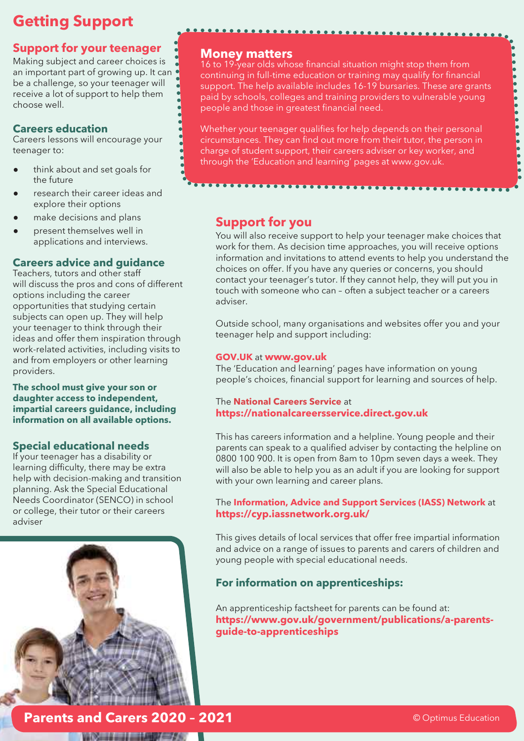# **Getting Support**

## **Support for your teenager**

Making subject and career choices is an important part of growing up. It can be a challenge, so your teenager will receive a lot of support to help them choose well.

#### **Careers education**

Careers lessons will encourage your teenager to:

- think about and set goals for the future
- research their career ideas and explore their options
- make decisions and plans
- present themselves well in applications and interviews.

#### **Careers advice and guidance**

Teachers, tutors and other staff will discuss the pros and cons of different options including the career opportunities that studying certain subjects can open up. They will help your teenager to think through their ideas and offer them inspiration through work-related activities, including visits to and from employers or other learning providers.

#### **The school must give your son or daughter access to independent, impartial careers guidance, including information on all available options.**

#### **Special educational needs**

If your teenager has a disability or learning difficulty, there may be extra help with decision-making and transition planning. Ask the Special Educational Needs Coordinator (SENCO) in school or college, their tutor or their careers adviser



#### **Money matters**

16 to 19-year olds whose financial situation might stop them from continuing in full-time education or training may qualify for financial support. The help available includes 16-19 bursaries. These are grants paid by schools, colleges and training providers to vulnerable young people and those in greatest financial need.

. . . . . . . . . . . . . . . . .

Whether your teenager qualifies for help depends on their personal circumstances. They can find out more from their tutor, the person in charge of student support, their careers adviser or key worker, and through the 'Education and learning' pages at www.gov.uk.

## **Support for you**

You will also receive support to help your teenager make choices that work for them. As decision time approaches, you will receive options information and invitations to attend events to help you understand the choices on offer. If you have any queries or concerns, you should contact your teenager's tutor. If they cannot help, they will put you in touch with someone who can – often a subject teacher or a careers adviser.

Outside school, many organisations and websites offer you and your teenager help and support including:

#### **GOV.UK** at **www.gov.uk**

The 'Education and learning' pages have information on young people's choices, financial support for learning and sources of help.

#### The **National Careers Service** at **https://nationalcareersservice.direct.gov.uk**

This has careers information and a helpline. Young people and their parents can speak to a qualified adviser by contacting the helpline on 0800 100 900. It is open from 8am to 10pm seven days a week. They will also be able to help you as an adult if you are looking for support with your own learning and career plans.

#### The **Information, Advice and Support Services (IASS) Network** at **https://cyp.iassnetwork.org.uk/**

This gives details of local services that offer free impartial information and advice on a range of issues to parents and carers of children and young people with special educational needs.

#### **For information on apprenticeships:**

An apprenticeship factsheet for parents can be found at: **https://www.gov.uk/government/publications/a-parentsguide-to-apprenticeships**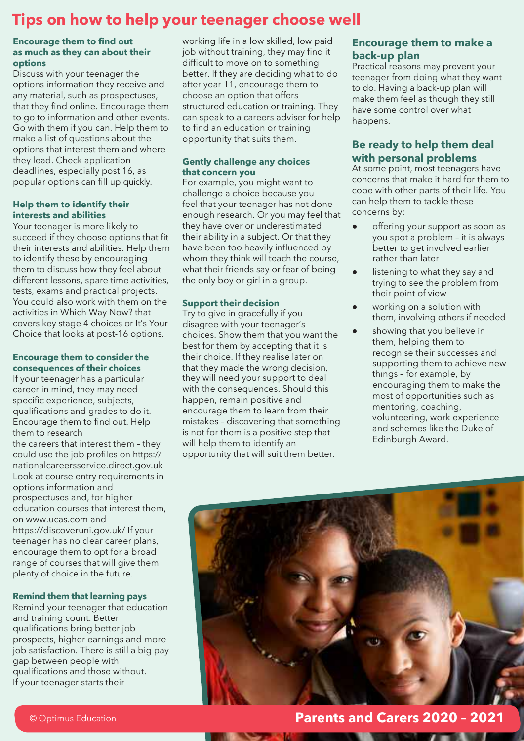# **Tips on how to help your teenager choose well**

#### **Encourage them to find out as much as they can about their options**

Discuss with your teenager the options information they receive and any material, such as prospectuses, that they find online. Encourage them to go to information and other events. Go with them if you can. Help them to make a list of questions about the options that interest them and where they lead. Check application deadlines, especially post 16, as popular options can fill up quickly.

#### **Help them to identify their interests and abilities**

Your teenager is more likely to succeed if they choose options that fit their interests and abilities. Help them to identify these by encouraging them to discuss how they feel about different lessons, spare time activities, tests, exams and practical projects. You could also work with them on the activities in Which Way Now? that covers key stage 4 choices or It's Your Choice that looks at post-16 options.

#### **Encourage them to consider the consequences of their choices**

If your teenager has a particular career in mind, they may need specific experience, subjects, qualifications and grades to do it. Encourage them to find out. Help them to research the careers that interest them – they could use the job profiles on https:// nationalcareersservice.direct.gov.uk Look at course entry requirements in options information and prospectuses and, for higher education courses that interest them, on www.ucas.com and https://discoveruni.gov.uk/ If your teenager has no clear career plans, encourage them to opt for a broad range of courses that will give them plenty of choice in the future.

#### **Remind them that learning pays**

Remind your teenager that education and training count. Better qualifications bring better job prospects, higher earnings and more job satisfaction. There is still a big pay gap between people with qualifications and those without. If your teenager starts their

working life in a low skilled, low paid job without training, they may find it difficult to move on to something better. If they are deciding what to do after year 11, encourage them to choose an option that offers structured education or training. They can speak to a careers adviser for help to find an education or training opportunity that suits them.

#### **Gently challenge any choices that concern you**

For example, you might want to challenge a choice because you feel that your teenager has not done enough research. Or you may feel that they have over or underestimated their ability in a subject. Or that they have been too heavily influenced by whom they think will teach the course, what their friends say or fear of being the only boy or girl in a group.

#### **Support their decision**

Try to give in gracefully if you disagree with your teenager's choices. Show them that you want the best for them by accepting that it is their choice. If they realise later on that they made the wrong decision, they will need your support to deal with the consequences. Should this happen, remain positive and encourage them to learn from their mistakes – discovering that something is not for them is a positive step that will help them to identify an opportunity that will suit them better.

#### **Encourage them to make a back-up plan**

Practical reasons may prevent your teenager from doing what they want to do. Having a back-up plan will make them feel as though they still have some control over what happens.

#### **Be ready to help them deal with personal problems**

At some point, most teenagers have concerns that make it hard for them to cope with other parts of their life. You can help them to tackle these concerns by:

- offering your support as soon as you spot a problem – it is always better to get involved earlier rather than later
- listening to what they say and trying to see the problem from their point of view
- working on a solution with them, involving others if needed
- showing that you believe in them, helping them to recognise their successes and supporting them to achieve new things – for example, by encouraging them to make the most of opportunities such as mentoring, coaching, volunteering, work experience and schemes like the Duke of Edinburgh Award.



**Parents and Carers 2020 – 2021**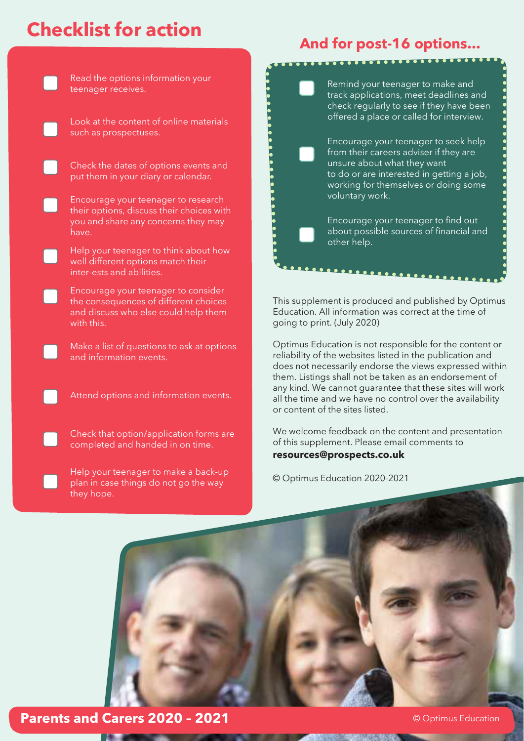# **Checklist for action**



# **And for post-16 options...**

Remind your teenager to make and track applications, meet deadlines and check regularly to see if they have been offered a place or called for interview.

Encourage your teenager to seek help from their careers adviser if they are unsure about what they want to do or are interested in getting a job, working for themselves or doing some voluntary work.

. . . . . . . . . . . . . . . .

Encourage your teenager to find out about possible sources of financial and other help.

This supplement is produced and published by Optimus Education. All information was correct at the time of going to print. (July 2020)

Optimus Education is not responsible for the content or reliability of the websites listed in the publication and does not necessarily endorse the views expressed within them. Listings shall not be taken as an endorsement of any kind. We cannot guarantee that these sites will work all the time and we have no control over the availability or content of the sites listed.

We welcome feedback on the content and presentation of this supplement. Please email comments to **resources@prospects.co.uk**

© Optimus Education 2020-2021



**Parents and Carers 2020 - 2021 Carellace Community Construction**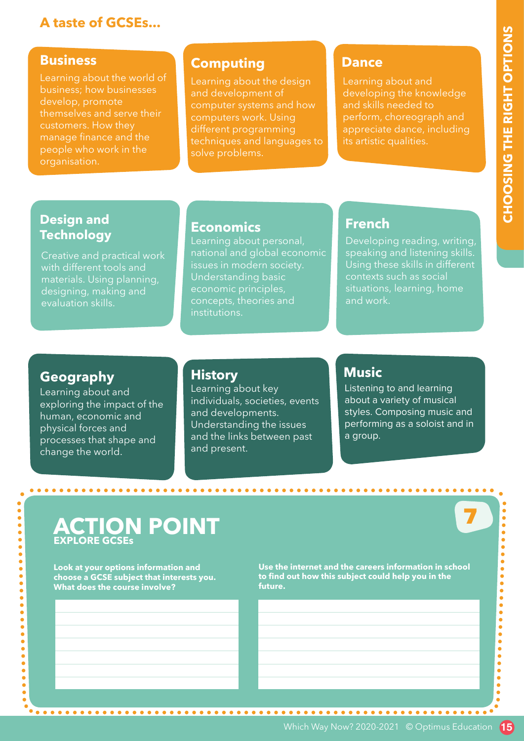# **A taste of GCSEs...**

#### **Business**

develop, promote themselves and serve their customers. How they people who work in the

## **Computing**

Learning about the design and development of computer systems and how techniques and languages to solve problems.

## **Dance**

Learning about and developing the knowledge and skills needed to perform, choreograph and appreciate dance, including its artistic qualities.

## **Design and Technology**

Creative and practical work with different tools and designing, making and evaluation skills.

## **Economics**

Learning about personal, national and global economic issues in modern society. Understanding basic economic principles, concepts, theories and institutions.

## **French**

Developing reading, writing, speaking and listening skills. Using these skills in different contexts such as social situations, learning, home and work.

## **Geography**

. . . . . . . . . . . . . . . . . . . .

 $\bullet$ 

Learning about and exploring the impact of the human, economic and physical forces and processes that shape and change the world.

## **History**

Learning about key individuals, societies, events and developments. Understanding the issues and the links between past and present.

## **Music**

Listening to and learning about a variety of musical styles. Composing music and performing as a soloist and in a group.

7

# **ACTION POINT EXPLORE GCSEs**

**Look at your options information and choose a GCSE subject that interests you. What does the course involve?**

**Use the internet and the careers information in school to find out how this subject could help you in the future.**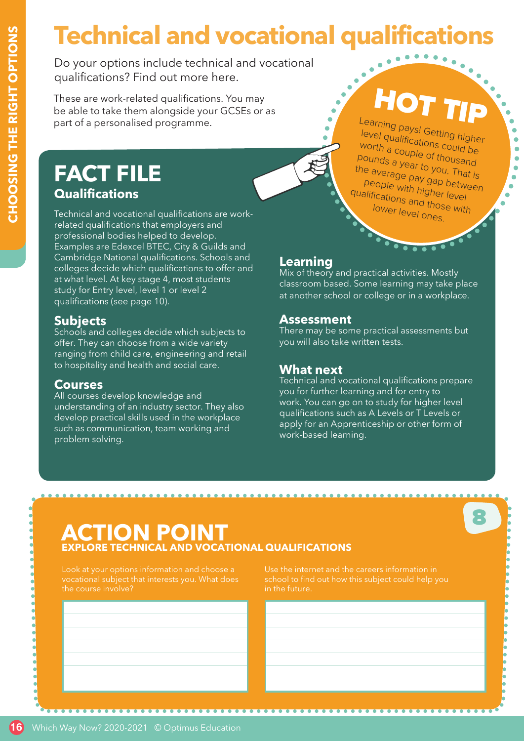# **Technical and vocational qualifications**

Do your options include technical and vocational qualifications? Find out more here.

These are work-related qualifications. You may be able to take them alongside your GCSEs or as part of a personalised programme.

# **FACT FILE Qualifications**

Technical and vocational qualifications are workrelated qualifications that employers and professional bodies helped to develop. Examples are Edexcel BTEC, City & Guilds and Cambridge National qualifications. Schools and colleges decide which qualifications to offer and at what level. At key stage 4, most students study for Entry level, level 1 or level 2 qualifications (see page 10).

## **Subjects**

Schools and colleges decide which subjects to offer. They can choose from a wide variety ranging from child care, engineering and retail to hospitality and health and social care.

#### **Courses**

All courses develop knowledge and understanding of an industry sector. They also develop practical skills used in the workplace such as communication, team working and problem solving.

...................

**Learning** Mix of theory and practical activities. Mostly classroom based. Some learning may take place at another school or college or in a workplace.

HOT TIP

 $\bullet$  $\bullet$  $\bullet$ 

Learning pays! Getting higher<br>level qualification level qualifications could be worth a couple of thousand pounds a year to you. That is the average pay gap between people with higher level qualifications and those with lower level ones.

## **Assessment**

There may be some practical assessments but you will also take written tests.

## **What next**

Technical and vocational qualifications prepare you for further learning and for entry to work. You can go on to study for higher level qualifications such as A Levels or T Levels or apply for an Apprenticeship or other form of work-based learning.

8

# **ACTION POIN TECHNICAL AND VOCATIONAL QUALIFICATIONS**

the course involve?

in the future.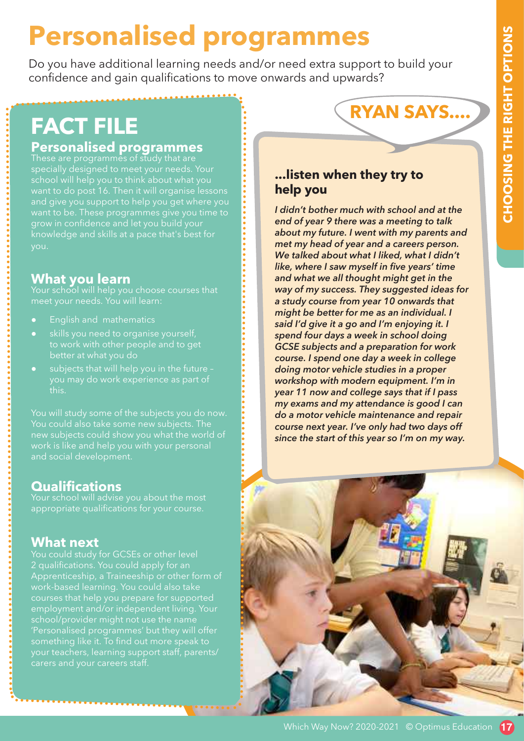# **Personalised programmes**

Do you have additional learning needs and/or need extra support to build your confidence and gain qualifications to move onwards and upwards?

# **FACT FILE**

# **Personalised programmes**<br>These are programmes of study that are

specially designed to meet your needs. Your and give you support to help you get where you want to be. These programmes give you time to grow in confidence and let you build your knowledge and skills at a pace that's best for you.

# **What you learn**

Your school will help you choose courses that meet your needs. You will learn:

- **English and mathematics**
- skills you need to organise yourself. to work with other people and to get
- subjects that will help you in the future you may do work experience as part of this.

You will study some of the subjects you do now. You could also take some new subjects. The new subjects could show you what the world of and social development.

# **Qualifications**

Your school will advise you about the most appropriate qualifications for your course.

# **What next**

You could study for GCSEs or other level 2 qualifications. You could apply for an Apprenticeship, a Traineeship or other form of courses that help you prepare for supported employment and/or independent living. Your school/provider might not use the name 'Personalised programmes' but they will offer something like it. To find out more speak to your teachers, learning support staff, parents/

# **RYAN SAYS....**

## **...listen when they try to help you**

*I didn't bother much with school and at the end of year 9 there was a meeting to talk about my future. I went with my parents and met my head of year and a careers person. We talked about what I liked, what I didn't like, where I saw myself in five years' time and what we all thought might get in the way of my success. They suggested ideas for a study course from year 10 onwards that might be better for me as an individual. I said I'd give it a go and I'm enjoying it. I spend four days a week in school doing GCSE subjects and a preparation for work course. I spend one day a week in college doing motor vehicle studies in a proper workshop with modern equipment. I'm in year 11 now and college says that if I pass my exams and my attendance is good I can do a motor vehicle maintenance and repair course next year. I've only had two days off since the start of this year so I'm on my way.*

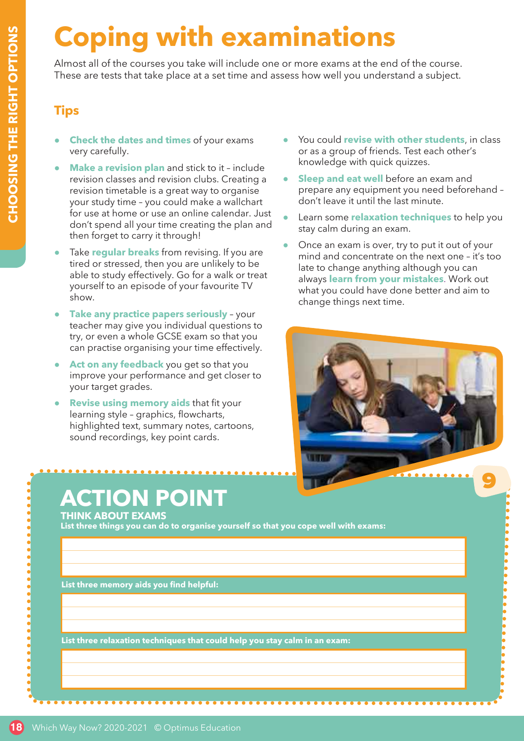# **Coping with examinations**

Almost all of the courses you take will include one or more exams at the end of the course. These are tests that take place at a set time and assess how well you understand a subject.

## **Tips**

- **Check the dates and times** of your exams very carefully.
- **Make a revision plan** and stick to it include revision classes and revision clubs. Creating a revision timetable is a great way to organise your study time – you could make a wallchart for use at home or use an online calendar. Just don't spend all your time creating the plan and then forget to carry it through!
- Take **regular breaks** from revising. If you are tired or stressed, then you are unlikely to be able to study effectively. Go for a walk or treat yourself to an episode of your favourite TV show.
- **Take any practice papers seriously your** teacher may give you individual questions to try, or even a whole GCSE exam so that you can practise organising your time effectively.
- Act on any feedback you get so that you improve your performance and get closer to your target grades.
- **Revise using memory aids that fit your** learning style – graphics, flowcharts, highlighted text, summary notes, cartoons, sound recordings, key point cards.

# **ACTION POINT**

**THINK ABOUT EXAMS**

**List three things you can do to organise yourself so that you cope well with exams:**

**List three memory aids you find helpful:**

**List three relaxation techniques that could help you stay calm in an exam:**

- You could **revise with other students**, in class or as a group of friends. Test each other's knowledge with quick quizzes.
- **Sleep and eat well** before an exam and prepare any equipment you need beforehand – don't leave it until the last minute.
- Learn some **relaxation techniques** to help you stay calm during an exam.
- Once an exam is over, try to put it out of your mind and concentrate on the next one – it's too late to change anything although you can always **learn from your mistakes**. Work out what you could have done better and aim to change things next time.

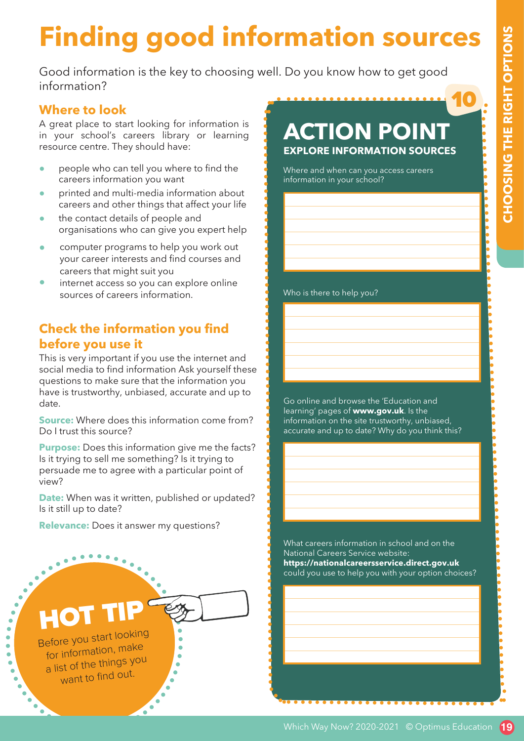10

# **Finding good information sources**

Good information is the key to choosing well. Do you know how to get good information?

#### **Where to look**

A great place to start looking for information is in your school's careers library or learning resource centre. They should have:

- people who can tell you where to find the careers information you want
- printed and multi-media information about careers and other things that affect your life
- the contact details of people and organisations who can give you expert help
- computer programs to help you work out your career interests and find courses and careers that might suit you
- internet access so you can explore online sources of careers information.

## **Check the information you find before you use it**

This is very important if you use the internet and social media to find information Ask yourself these questions to make sure that the information you have is trustworthy, unbiased, accurate and up to date.

**Source:** Where does this information come from? Do I trust this source?

**Purpose:** Does this information give me the facts? Is it trying to sell me something? Is it trying to persuade me to agree with a particular point of view?

**Date:** When was it written, published or updated? Is it still up to date?

**Relevance:** Does it answer my questions?



# **ACTION POINT EXPLORE INFORMATION SOURCES**

Where and when can you access careers information in your school?

Who is there to help you?

Go online and browse the 'Education and learning' pages of **www.gov.uk**. Is the information on the site trustworthy, unbiased, accurate and up to date? Why do you think this?

What careers information in school and on the National Careers Service website: **https://nationalcareersservice.direct.gov.uk** could you use to help you with your option choices?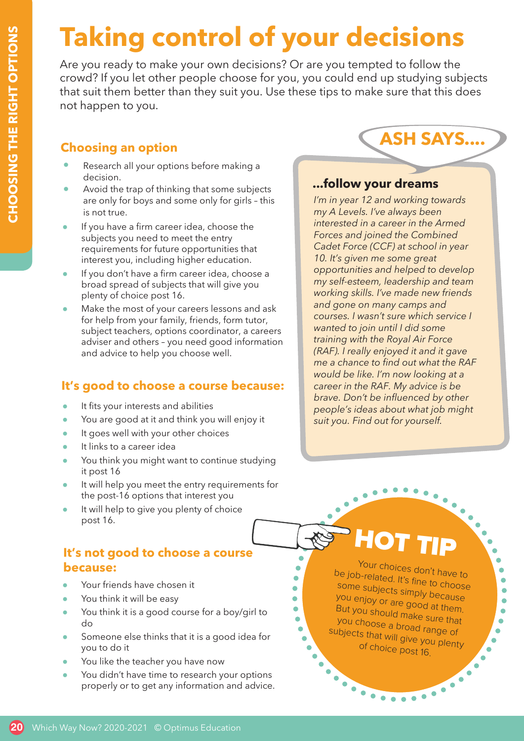# **Taking control of your decisions**

Are you ready to make your own decisions? Or are you tempted to follow the crowd? If you let other people choose for you, you could end up studying subjects that suit them better than they suit you. Use these tips to make sure that this does not happen to you.

## **Choosing an option**

- Research all your options before making a decision.
- Avoid the trap of thinking that some subjects are only for boys and some only for girls – this is not true.
- If you have a firm career idea, choose the subjects you need to meet the entry requirements for future opportunities that interest you, including higher education.
- If you don't have a firm career idea, choose a broad spread of subjects that will give you plenty of choice post 16.
- Make the most of your careers lessons and ask for help from your family, friends, form tutor, subject teachers, options coordinator, a careers adviser and others – you need good information and advice to help you choose well.

## **It's good to choose a course because:**

- It fits your interests and abilities
- You are good at it and think you will enjoy it
- It goes well with your other choices
- It links to a career idea
- You think you might want to continue studying it post 16
- It will help you meet the entry requirements for the post-16 options that interest you
- It will help to give you plenty of choice post 16.

## **It's not good to choose a course because:**

- Your friends have chosen it
- You think it will be easy
- You think it is a good course for a boy/girl to do
- Someone else thinks that it is a good idea for you to do it
- You like the teacher you have now
- You didn't have time to research your options properly or to get any information and advice.

**...follow your dreams**

**ASH SAYS....**

*I'm in year 12 and working towards my A Levels. I've always been interested in a career in the Armed Forces and joined the Combined Cadet Force (CCF) at school in year 10. It's given me some great opportunities and helped to develop my self-esteem, leadership and team working skills. I've made new friends and gone on many camps and courses. I wasn't sure which service I wanted to join until I did some training with the Royal Air Force (RAF). I really enjoyed it and it gave me a chance to find out what the RAF would be like. I'm now looking at a career in the RAF. My advice is be brave. Don't be influenced by other people's ideas about what job might suit you. Find out for yourself.*

# HOT TIP

 $\bullet$ 

 $\bullet$ 

 $\bullet$ 

 $\bullet$ 

Ō

..

Your choices don't have to be job-related. It's fine to choose some subjects simply because you enjoy or are good at them. But you should make sure that you choose a broad range of subjects that will give you plenty of choice post 16.

 $\bullet \bullet \bullet \bullet$ 

٠  $\bullet$ ä

 $\bullet$ 

ò

ò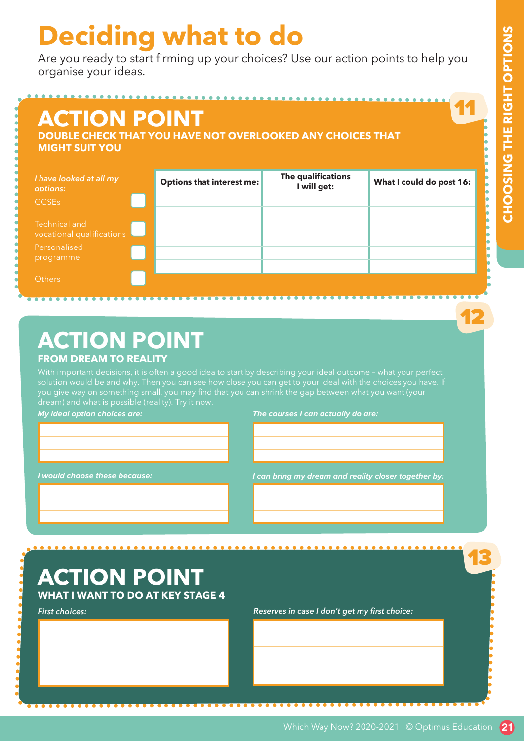12

13

# **Deciding what to do**

Are you ready to start firming up your choices? Use our action points to help you organise your ideas.

| <b>ACTION POINT</b><br><b>MIGHT SUIT YOU</b> | <b>DOUBLE CHECK THAT YOU HAVE NOT OVERLOOKED ANY CHOICES THAT</b> |                                   |                          |
|----------------------------------------------|-------------------------------------------------------------------|-----------------------------------|--------------------------|
| I have looked at all my<br>options:          | <b>Options that interest me:</b>                                  | The qualifications<br>I will get: | What I could do post 16: |
| <b>GCSEs</b>                                 |                                                                   |                                   |                          |
| Technical and<br>vocational qualifications   |                                                                   |                                   |                          |
| Personalised<br>programme                    |                                                                   |                                   |                          |
| <b>Others</b>                                |                                                                   |                                   |                          |

# **ACTION POINT FROM DREAM TO REALITY**

With important decisions, it is often a good idea to start by describing your ideal outcome – what your perfect

**My ideal option choices are:**

**The courses I can actually do are:**

**I would choose these because:**

**I can bring my dream and reality closer together by:**

 $$ 

# **ACTION POINT**

**WHAT I WANT TO DO AT KEY STAGE 4**

*First choices:*

*Reserves in case I don't get my first choice:*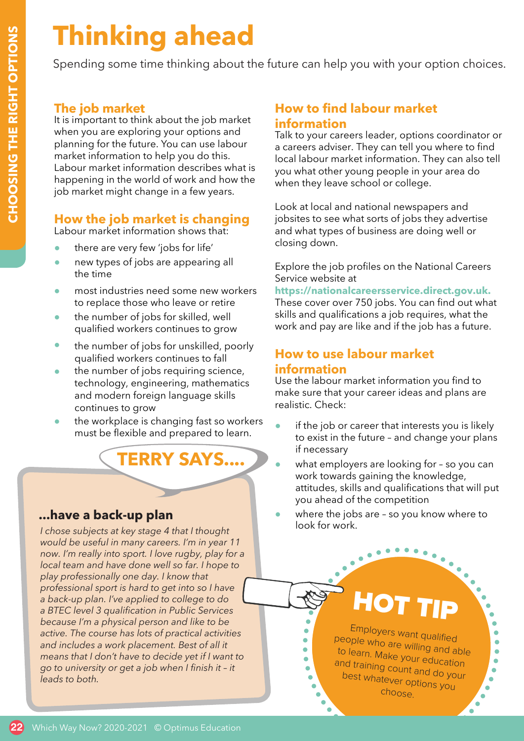# **Thinking ahead**

Spending some time thinking about the future can help you with your option choices.

## **The job market**

It is important to think about the job market when you are exploring your options and planning for the future. You can use labour market information to help you do this. Labour market information describes what is happening in the world of work and how the job market might change in a few years.

## **How the job market is changing**

Labour market information shows that:

- there are very few 'jobs for life'
- new types of jobs are appearing all the time
- most industries need some new workers to replace those who leave or retire
- the number of jobs for skilled, well qualified workers continues to grow
- the number of jobs for unskilled, poorly qualified workers continues to fall
- the number of jobs requiring science, technology, engineering, mathematics and modern foreign language skills continues to grow
- the workplace is changing fast so workers must be flexible and prepared to learn.

**TERRY SAYS....**

## **...have a back-up plan**

*I chose subjects at key stage 4 that I thought would be useful in many careers. I'm in year 11 now. I'm really into sport. I love rugby, play for a local team and have done well so far. I hope to play professionally one day. I know that professional sport is hard to get into so I have a back-up plan. I've applied to college to do a BTEC level 3 qualification in Public Services because I'm a physical person and like to be active. The course has lots of practical activities and includes a work placement. Best of all it means that I don't have to decide yet if I want to go to university or get a job when I finish it – it leads to both.*

## **How to find labour market information**

Talk to your careers leader, options coordinator or a careers adviser. They can tell you where to find local labour market information. They can also tell you what other young people in your area do when they leave school or college.

Look at local and national newspapers and jobsites to see what sorts of jobs they advertise and what types of business are doing well or closing down.

Explore the job profiles on the National Careers Service website at

**https://nationalcareersservice.direct.gov.uk.**  These cover over 750 jobs. You can find out what skills and qualifications a job requires, what the work and pay are like and if the job has a future.

## **How to use labour market information**

Use the labour market information you find to make sure that your career ideas and plans are realistic. Check:

- if the job or career that interests you is likely to exist in the future – and change your plans if necessary
- what employers are looking for so you can work towards gaining the knowledge, attitudes, skills and qualifications that will put you ahead of the competition
- where the jobs are so you know where to look for work.

 $\bullet$ 

# HOT TIP

Employers want qualified people who are willing and able to learn. Make your education and training count and do your best whatever options you choose.

 $\bullet$  $\bullet$  $\bullet$ 

۰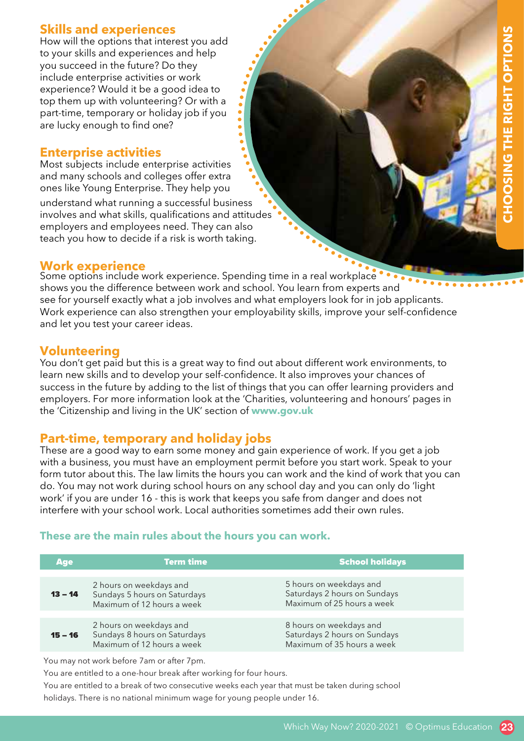# **23CHOOSING THE RIGHT OPTIONS GTHE RIGHT OPTION**

## **Skills and experiences**

How will the options that interest you add to your skills and experiences and help you succeed in the future? Do they include enterprise activities or work experience? Would it be a good idea to top them up with volunteering? Or with a part-time, temporary or holiday job if you are lucky enough to find one?

### **Enterprise activities**

understand what running a successful business involves and what skills, qualifications and attitudes employers and employees need. They can also teach you how to decide if a risk is worth taking. Most subjects include enterprise activities and many schools and colleges offer extra ones like Young Enterprise. They help you

#### **Work experience**

Some options include work experience. Spending time in a real workplace shows you the difference between work and school. You learn from experts and see for yourself exactly what a job involves and what employers look for in job applicants. Work experience can also strengthen your employability skills, improve your self-confidence and let you test your career ideas.

8  $\bullet$ 

## **Volunteering**

You don't get paid but this is a great way to find out about different work environments, to learn new skills and to develop your self-confidence. It also improves your chances of success in the future by adding to the list of things that you can offer learning providers and employers. For more information look at the 'Charities, volunteering and honours' pages in the 'Citizenship and living in the UK' section of **www.gov.uk**

**Part-time, temporary and holiday jobs** These are a good way to earn some money and gain experience of work. If you get a job with a business, you must have an employment permit before you start work. Speak to your form tutor about this. The law limits the hours you can work and the kind of work that you can do. You may not work during school hours on any school day and you can only do 'light work' if you are under 16 - this is work that keeps you safe from danger and does not interfere with your school work. Local authorities sometimes add their own rules.

#### **These are the main rules about the hours you can work.**

| <b>Age</b> | <b>Term time</b>                                                                      | <b>School holidays</b>                                                                |
|------------|---------------------------------------------------------------------------------------|---------------------------------------------------------------------------------------|
|            |                                                                                       |                                                                                       |
| $13 - 14$  | 2 hours on weekdays and<br>Sundays 5 hours on Saturdays<br>Maximum of 12 hours a week | 5 hours on weekdays and<br>Saturdays 2 hours on Sundays<br>Maximum of 25 hours a week |
|            |                                                                                       |                                                                                       |
| $15 - 16$  | 2 hours on weekdays and<br>Sundays 8 hours on Saturdays<br>Maximum of 12 hours a week | 8 hours on weekdays and<br>Saturdays 2 hours on Sundays<br>Maximum of 35 hours a week |
|            |                                                                                       |                                                                                       |

You may not work before 7am or after 7pm.

You are entitled to a one-hour break after working for four hours.

You are entitled to a break of two consecutive weeks each year that must be taken during school holidays. There is no national minimum wage for young people under 16.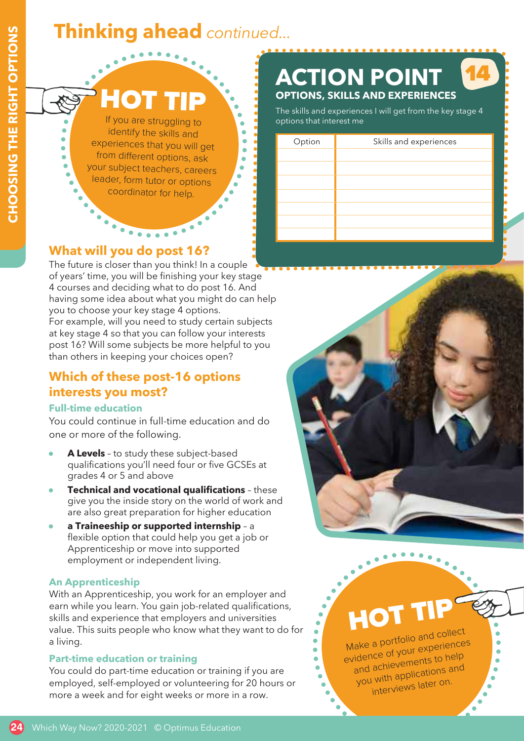# **24CHOOSING THE RIGHT OPTIONS** CHOOSING THE RIGHT OPTIONS

# **Thinking ahead** *continued...*

HOT TIP

If you are struggling to identify the skills and experiences that you will get from different options, ask your subject teachers, careers leader, form tutor or options coordinator for help.

 $\bullet \bullet \bullet \bullet \bullet \bullet \bullet$ 

٠ ŏ ä

# **What will you do post 16?**

The future is closer than you think! In a couple of years' time, you will be finishing your key stage 4 courses and deciding what to do post 16. And having some idea about what you might do can help you to choose your key stage 4 options.

For example, will you need to study certain subjects at key stage 4 so that you can follow your interests post 16? Will some subjects be more helpful to you than others in keeping your choices open?

# **Which of these post-16 options interests you most?**

## **Full-time education**

You could continue in full-time education and do one or more of the following.

- A Levels to study these subject-based qualifications you'll need four or five GCSEs at grades 4 or 5 and above
- **Technical and vocational qualifications** these give you the inside story on the world of work and are also great preparation for higher education
- **a Traineeship or supported internship** a flexible option that could help you get a job or Apprenticeship or move into supported employment or independent living.

## **An Apprenticeship**

With an Apprenticeship, you work for an employer and earn while you learn. You gain job-related qualifications, skills and experience that employers and universities value. This suits people who know what they want to do for a living.

## **Part-time education or training**

You could do part-time education or training if you are employed, self-employed or volunteering for 20 hours or more a week and for eight weeks or more in a row.

#### **ACTION POINT OPTIONS, SKILLS AND EXPERIENCES** 14

The skills and experiences I will get from the key stage 4 options that interest me

| Option | Skills and experiences |
|--------|------------------------|
|        |                        |
|        |                        |
|        |                        |
|        |                        |
|        |                        |
|        |                        |
|        |                        |
|        |                        |
|        |                        |





Make a <sup>p</sup>ortfolio and collect evidence of your experiences and achievements to help you with applications an<sup>d</sup> interviews later on.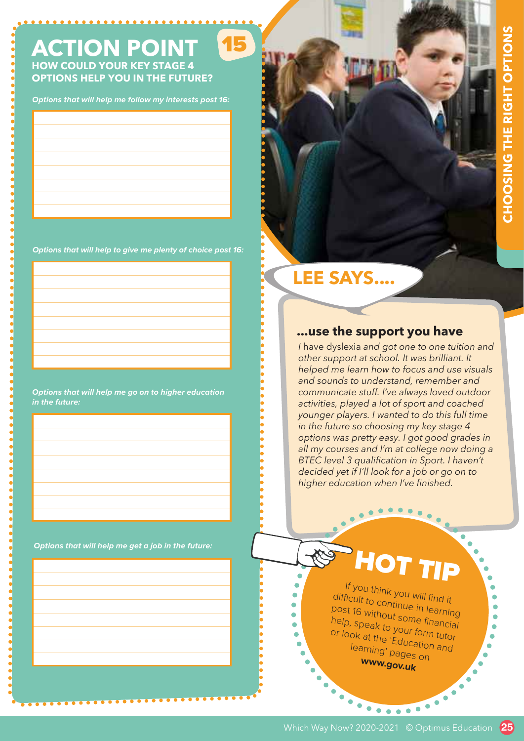# **ACTION POINT**

..............

15

**HOW COULD YOUR KEY STAGE 4 OPTIONS HELP YOU IN THE FUTURE?**

**Options that will help me follow my interests post 16:**

**Options that will help to give me plenty of choice post 16:**

**Options that will help me go on to higher education in the future:**

**Options that will help me get a job in the future:**

# **LEE SAYS....**

٠  $\bullet$ Ä ä ä

#### **...use the support you have**

*I* have dyslexia *and got one to one tuition and other support at school. It was brilliant. It helped me learn how to focus and use visuals and sounds to understand, remember and communicate stuff. I've always loved outdoor activities, played a lot of sport and coached younger players. I wanted to do this full time in the future so choosing my key stage 4 options was pretty easy. I got good grades in all my courses and I'm at college now doing a BTEC level 3 qualification in Sport. I haven't decided yet if I'll look for a job or go on to higher education when I've finished.*

# HOT TIP

<sup>If</sup> you think you will find it<br><sup>'icult</sup> to contin difficult to continue in learning post 16 without some financial help, speak to your form tutor or look at the 'Education and learning' pages on **www.gov.uk**

 $\bullet$ 

......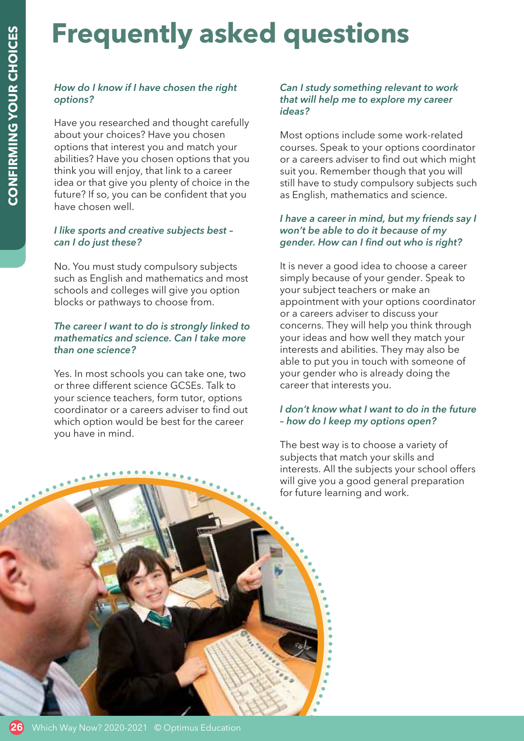# **Frequently asked questions**

#### *How do I know if I have chosen the right options?*

Have you researched and thought carefully about your choices? Have you chosen options that interest you and match your abilities? Have you chosen options that you think you will enjoy, that link to a career idea or that give you plenty of choice in the future? If so, you can be confident that you have chosen well.

#### *I like sports and creative subjects best – can I do just these?*

No. You must study compulsory subjects such as English and mathematics and most schools and colleges will give you option blocks or pathways to choose from.

#### *The career I want to do is strongly linked to mathematics and science. Can I take more than one science?*

Yes. In most schools you can take one, two or three different science GCSEs. Talk to your science teachers, form tutor, options coordinator or a careers adviser to find out which option would be best for the career you have in mind.

#### *Can I study something relevant to work that will help me to explore my career ideas?*

Most options include some work-related courses. Speak to your options coordinator or a careers adviser to find out which might suit you. Remember though that you will still have to study compulsory subjects such as English, mathematics and science.

#### *I have a career in mind, but my friends say I won't be able to do it because of my gender. How can I find out who is right?*

It is never a good idea to choose a career simply because of your gender. Speak to your subject teachers or make an appointment with your options coordinator or a careers adviser to discuss your concerns. They will help you think through your ideas and how well they match your interests and abilities. They may also be able to put you in touch with someone of your gender who is already doing the career that interests you.

#### *I don't know what I want to do in the future – how do I keep my options open?*

The best way is to choose a variety of subjects that match your skills and interests. All the subjects your school offers will give you a good general preparation for future learning and work.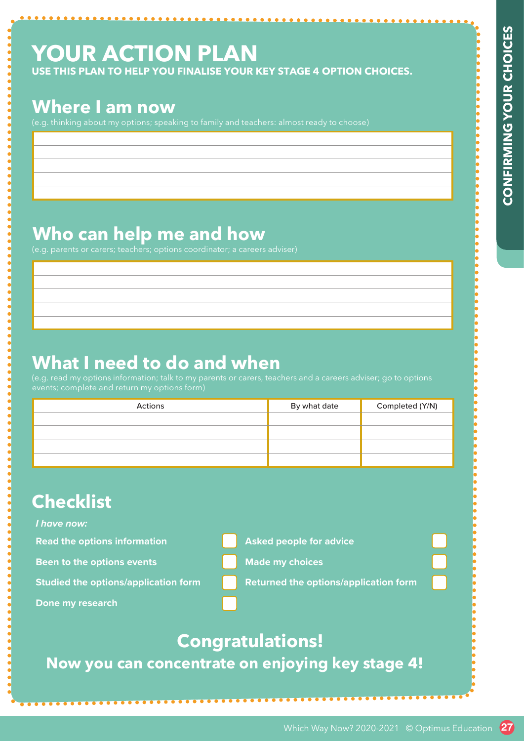# **YOUR ACTION PLAN**

# **Where I am now**

# **Who can help me and how**

# **What I need to do and when**

| USE THIS PLAN TO HELP YOU FINALISE YOUR KEY STAGE 4 OPTION CHOICES.<br><b>Where I am now</b>                                                                                                 |                                              |                 |  |
|----------------------------------------------------------------------------------------------------------------------------------------------------------------------------------------------|----------------------------------------------|-----------------|--|
| (e.g. thinking about my options; speaking to family and teachers: almost ready to choose)                                                                                                    |                                              |                 |  |
|                                                                                                                                                                                              |                                              |                 |  |
|                                                                                                                                                                                              |                                              |                 |  |
| Who can help me and how                                                                                                                                                                      |                                              |                 |  |
| (e.g. parents or carers; teachers; options coordinator; a careers adviser)                                                                                                                   |                                              |                 |  |
|                                                                                                                                                                                              |                                              |                 |  |
|                                                                                                                                                                                              |                                              |                 |  |
|                                                                                                                                                                                              |                                              |                 |  |
|                                                                                                                                                                                              |                                              |                 |  |
|                                                                                                                                                                                              |                                              |                 |  |
|                                                                                                                                                                                              |                                              |                 |  |
| Actions                                                                                                                                                                                      | By what date                                 | Completed (Y/N) |  |
|                                                                                                                                                                                              |                                              |                 |  |
|                                                                                                                                                                                              |                                              |                 |  |
| What I need to do and when<br>(e.g. read my options information; talk to my parents or carers, teachers and a careers adviser; go to options<br>events; complete and return my options form) |                                              |                 |  |
| <b>Checklist</b>                                                                                                                                                                             |                                              |                 |  |
| I have now:                                                                                                                                                                                  |                                              |                 |  |
| <b>Read the options information</b>                                                                                                                                                          | <b>Asked people for advice</b>               |                 |  |
| Been to the options events                                                                                                                                                                   | <b>Made my choices</b>                       |                 |  |
| <b>Studied the options/application form</b>                                                                                                                                                  | <b>Returned the options/application form</b> |                 |  |
|                                                                                                                                                                                              |                                              |                 |  |
| Done my research                                                                                                                                                                             | <b>Congratulations!</b>                      |                 |  |

# **Checklist**

#### **I have now:**

- 
- -
- **Studied the options/application form <b>Returned the options/application form**



# **Congratulations!**